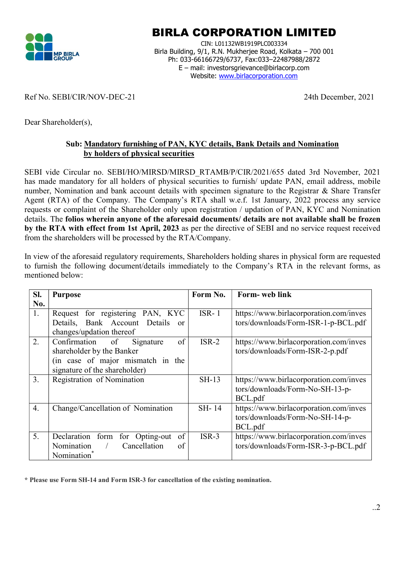

## BIRLA CORPORATION LIMITED

CIN: L01132WB1919PLC003334 Birla Building, 9/1, R.N. Mukherjee Road, Kolkata – 700 001 Ph: 033-66166729/6737, Fax:033–22487988/2872 E – mail: investorsgrievance@birlacorp.com Website: www.birlacorporation.com

## Ref No. SEBI/CIR/NOV-DEC-21 24th December, 2021

Dear Shareholder(s),

## Sub: Mandatory furnishing of PAN, KYC details, Bank Details and Nomination by holders of physical securities

SEBI vide Circular no. SEBI/HO/MIRSD/MIRSD\_RTAMB/P/CIR/2021/655 dated 3rd November, 2021 has made mandatory for all holders of physical securities to furnish/ update PAN, email address, mobile number, Nomination and bank account details with specimen signature to the Registrar & Share Transfer Agent (RTA) of the Company. The Company's RTA shall w.e.f. 1st January, 2022 process any service requests or complaint of the Shareholder only upon registration / updation of PAN, KYC and Nomination details. The folios wherein anyone of the aforesaid documents/ details are not available shall be frozen by the RTA with effect from 1st April, 2023 as per the directive of SEBI and no service request received from the shareholders will be processed by the RTA/Company.

|                  |  |  |  |  | In view of the aforesaid regulatory requirements, Shareholders holding shares in physical form are requested |  |  |  |  |  |  |
|------------------|--|--|--|--|--------------------------------------------------------------------------------------------------------------|--|--|--|--|--|--|
|                  |  |  |  |  | to furnish the following document/details immediately to the Company's RTA in the relevant forms, as         |  |  |  |  |  |  |
| mentioned below: |  |  |  |  |                                                                                                              |  |  |  |  |  |  |

| SI.              | <b>Purpose</b>                                 | Form No. | Form- web link                         |
|------------------|------------------------------------------------|----------|----------------------------------------|
| No.              |                                                |          |                                        |
| 1.               | Request for registering PAN, KYC               | $ISR-1$  | https://www.birlacorporation.com/inves |
|                  | Details, Bank Account Details<br><sub>or</sub> |          | tors/downloads/Form-ISR-1-p-BCL.pdf    |
|                  | changes/updation thereof                       |          |                                        |
| 2.               | of<br>Confirmation of<br>Signature             | $ISR-2$  | https://www.birlacorporation.com/inves |
|                  | shareholder by the Banker                      |          | tors/downloads/Form-ISR-2-p.pdf        |
|                  | (in case of major mismatch in the              |          |                                        |
|                  | signature of the shareholder)                  |          |                                        |
| 3.               | Registration of Nomination                     | $SH-13$  | https://www.birlacorporation.com/inves |
|                  |                                                |          | tors/downloads/Form-No-SH-13-p-        |
|                  |                                                |          | BCL.pdf                                |
| $\overline{4}$ . | Change/Cancellation of Nomination              | SH-14    | https://www.birlacorporation.com/inves |
|                  |                                                |          | tors/downloads/Form-No-SH-14-p-        |
|                  |                                                |          | BCL.pdf                                |
| 5.               | of<br>Declaration form<br>for Opting-out       | $ISR-3$  | https://www.birlacorporation.com/inves |
|                  | Cancellation<br>Nomination<br>$\sqrt{2}$<br>of |          | tors/downloads/Form-ISR-3-p-BCL.pdf    |
|                  | Nomination <sup>*</sup>                        |          |                                        |

\* Please use Form SH-14 and Form ISR-3 for cancellation of the existing nomination.